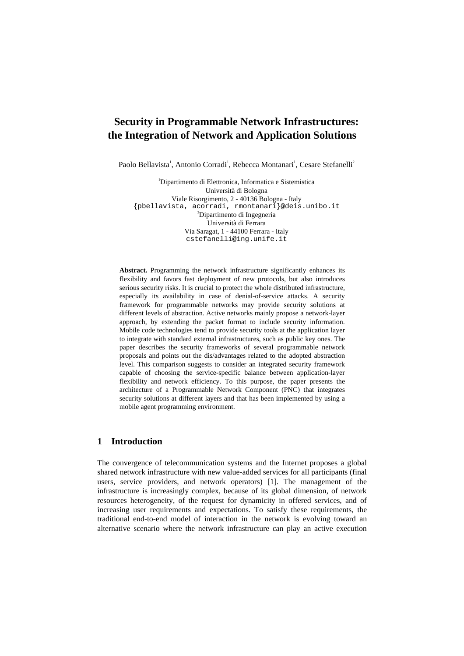# **Security in Programmable Network Infrastructures: the Integration of Network and Application Solutions**

Paolo Bellavista<sup>1</sup>, Antonio Corradi<sup>1</sup>, Rebecca Montanari<sup>1</sup>, Cesare Stefanelli<sup>2</sup>

1 Dipartimento di Elettronica, Informatica e Sistemistica Università di Bologna Viale Risorgimento, 2 - 40136 Bologna - Italy {pbellavista, acorradi, rmontanari}@deis.unibo.it 2 Dipartimento di Ingegneria Università di Ferrara Via Saragat, 1 - 44100 Ferrara - Italy cstefanelli@ing.unife.it

**Abstract.** Programming the network infrastructure significantly enhances its flexibility and favors fast deployment of new protocols, but also introduces serious security risks. It is crucial to protect the whole distributed infrastructure, especially its availability in case of denial-of-service attacks. A security framework for programmable networks may provide security solutions at different levels of abstraction. Active networks mainly propose a network-layer approach, by extending the packet format to include security information. Mobile code technologies tend to provide security tools at the application layer to integrate with standard external infrastructures, such as public key ones. The paper describes the security frameworks of several programmable network proposals and points out the dis/advantages related to the adopted abstraction level. This comparison suggests to consider an integrated security framework capable of choosing the service-specific balance between application-layer flexibility and network efficiency. To this purpose, the paper presents the architecture of a Programmable Network Component (PNC) that integrates security solutions at different layers and that has been implemented by using a mobile agent programming environment.

## **1 Introduction**

The convergence of telecommunication systems and the Internet proposes a global shared network infrastructure with new value-added services for all participants (final users, service providers, and network operators) [1]. The management of the infrastructure is increasingly complex, because of its global dimension, of network resources heterogeneity, of the request for dynamicity in offered services, and of increasing user requirements and expectations. To satisfy these requirements, the traditional end-to-end model of interaction in the network is evolving toward an alternative scenario where the network infrastructure can play an active execution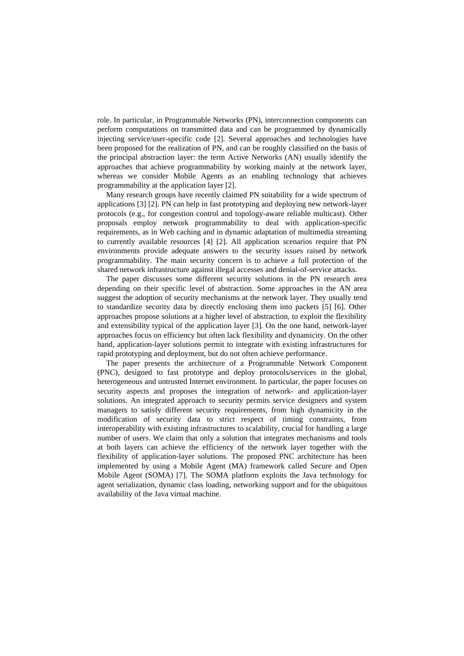role. In particular, in Programmable Networks (PN), interconnection components can perform computations on transmitted data and can be programmed by dynamically injecting service/user-specific code [2]. Several approaches and technologies have been proposed for the realization of PN, and can be roughly classified on the basis of the principal abstraction layer: the term Active Networks (AN) usually identify the approaches that achieve programmability by working mainly at the network layer, whereas we consider Mobile Agents as an enabling technology that achieves programmability at the application layer [2].

Many research groups have recently claimed PN suitability for a wide spectrum of applications [3] [2]. PN can help in fast prototyping and deploying new network-layer protocols (e.g., for congestion control and topology-aware reliable multicast). Other proposals employ network programmability to deal with application-specific requirements, as in Web caching and in dynamic adaptation of multimedia streaming to currently available resources [4] [2]. All application scenarios require that PN environments provide adequate answers to the security issues raised by network programmability. The main security concern is to achieve a full protection of the shared network infrastructure against illegal accesses and denial-of-service attacks.

The paper discusses some different security solutions in the PN research area depending on their specific level of abstraction. Some approaches in the AN area suggest the adoption of security mechanisms at the network layer. They usually tend to standardize security data by directly enclosing them into packets [5] [6]. Other approaches propose solutions at a higher level of abstraction, to exploit the flexibility and extensibility typical of the application layer [3]. On the one hand, network-layer approaches focus on efficiency but often lack flexibility and dynamicity. On the other hand, application-layer solutions permit to integrate with existing infrastructures for rapid prototyping and deployment, but do not often achieve performance.

The paper presents the architecture of a Programmable Network Component (PNC), designed to fast prototype and deploy protocols/services in the global, heterogeneous and untrusted Internet environment. In particular, the paper focuses on security aspects and proposes the integration of network- and application-layer solutions. An integrated approach to security permits service designers and system managers to satisfy different security requirements, from high dynamicity in the modification of security data to strict respect of timing constraints, from interoperability with existing infrastructures to scalability, crucial for handling a large number of users. We claim that only a solution that integrates mechanisms and tools at both layers can achieve the efficiency of the network layer together with the flexibility of application-layer solutions. The proposed PNC architecture has been implemented by using a Mobile Agent (MA) framework called Secure and Open Mobile Agent (SOMA) [7]. The SOMA platform exploits the Java technology for agent serialization, dynamic class loading, networking support and for the ubiquitous availability of the Java virtual machine.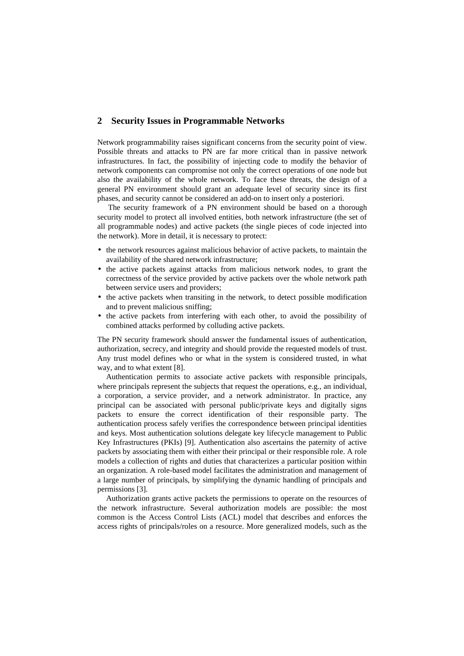## **2 Security Issues in Programmable Networks**

Network programmability raises significant concerns from the security point of view. Possible threats and attacks to PN are far more critical than in passive network infrastructures. In fact, the possibility of injecting code to modify the behavior of network components can compromise not only the correct operations of one node but also the availability of the whole network. To face these threats, the design of a general PN environment should grant an adequate level of security since its first phases, and security cannot be considered an add-on to insert only a posteriori.

 The security framework of a PN environment should be based on a thorough security model to protect all involved entities, both network infrastructure (the set of all programmable nodes) and active packets (the single pieces of code injected into the network). More in detail, it is necessary to protect:

- the network resources against malicious behavior of active packets, to maintain the availability of the shared network infrastructure;
- the active packets against attacks from malicious network nodes, to grant the correctness of the service provided by active packets over the whole network path between service users and providers;
- the active packets when transiting in the network, to detect possible modification and to prevent malicious sniffing;
- the active packets from interfering with each other, to avoid the possibility of combined attacks performed by colluding active packets.

The PN security framework should answer the fundamental issues of authentication, authorization, secrecy, and integrity and should provide the requested models of trust. Any trust model defines who or what in the system is considered trusted, in what way, and to what extent [8].

Authentication permits to associate active packets with responsible principals, where principals represent the subjects that request the operations, e.g., an individual, a corporation, a service provider, and a network administrator. In practice, any principal can be associated with personal public/private keys and digitally signs packets to ensure the correct identification of their responsible party. The authentication process safely verifies the correspondence between principal identities and keys. Most authentication solutions delegate key lifecycle management to Public Key Infrastructures (PKIs) [9]. Authentication also ascertains the paternity of active packets by associating them with either their principal or their responsible role. A role models a collection of rights and duties that characterizes a particular position within an organization. A role-based model facilitates the administration and management of a large number of principals, by simplifying the dynamic handling of principals and permissions [3].

Authorization grants active packets the permissions to operate on the resources of the network infrastructure. Several authorization models are possible: the most common is the Access Control Lists (ACL) model that describes and enforces the access rights of principals/roles on a resource. More generalized models, such as the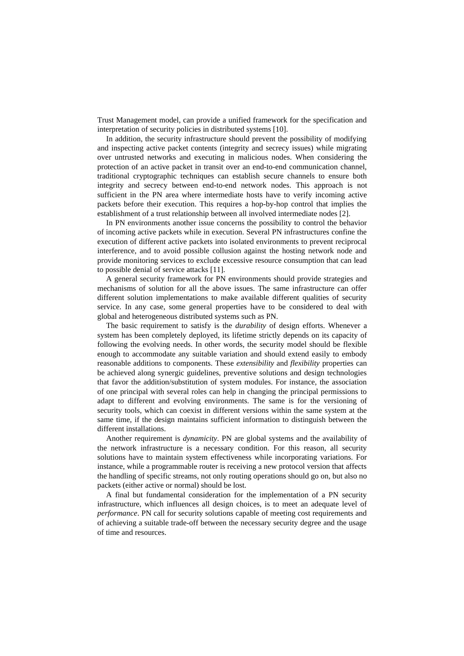Trust Management model, can provide a unified framework for the specification and interpretation of security policies in distributed systems [10].

In addition, the security infrastructure should prevent the possibility of modifying and inspecting active packet contents (integrity and secrecy issues) while migrating over untrusted networks and executing in malicious nodes. When considering the protection of an active packet in transit over an end-to-end communication channel, traditional cryptographic techniques can establish secure channels to ensure both integrity and secrecy between end-to-end network nodes. This approach is not sufficient in the PN area where intermediate hosts have to verify incoming active packets before their execution. This requires a hop-by-hop control that implies the establishment of a trust relationship between all involved intermediate nodes [2].

In PN environments another issue concerns the possibility to control the behavior of incoming active packets while in execution. Several PN infrastructures confine the execution of different active packets into isolated environments to prevent reciprocal interference, and to avoid possible collusion against the hosting network node and provide monitoring services to exclude excessive resource consumption that can lead to possible denial of service attacks [11].

A general security framework for PN environments should provide strategies and mechanisms of solution for all the above issues. The same infrastructure can offer different solution implementations to make available different qualities of security service. In any case, some general properties have to be considered to deal with global and heterogeneous distributed systems such as PN.

The basic requirement to satisfy is the *durability* of design efforts. Whenever a system has been completely deployed, its lifetime strictly depends on its capacity of following the evolving needs. In other words, the security model should be flexible enough to accommodate any suitable variation and should extend easily to embody reasonable additions to components. These *extensibility* and *flexibility* properties can be achieved along synergic guidelines, preventive solutions and design technologies that favor the addition/substitution of system modules. For instance, the association of one principal with several roles can help in changing the principal permissions to adapt to different and evolving environments. The same is for the versioning of security tools, which can coexist in different versions within the same system at the same time, if the design maintains sufficient information to distinguish between the different installations.

Another requirement is *dynamicity*. PN are global systems and the availability of the network infrastructure is a necessary condition. For this reason, all security solutions have to maintain system effectiveness while incorporating variations. For instance, while a programmable router is receiving a new protocol version that affects the handling of specific streams, not only routing operations should go on, but also no packets (either active or normal) should be lost.

A final but fundamental consideration for the implementation of a PN security infrastructure, which influences all design choices, is to meet an adequate level of *performance*. PN call for security solutions capable of meeting cost requirements and of achieving a suitable trade-off between the necessary security degree and the usage of time and resources.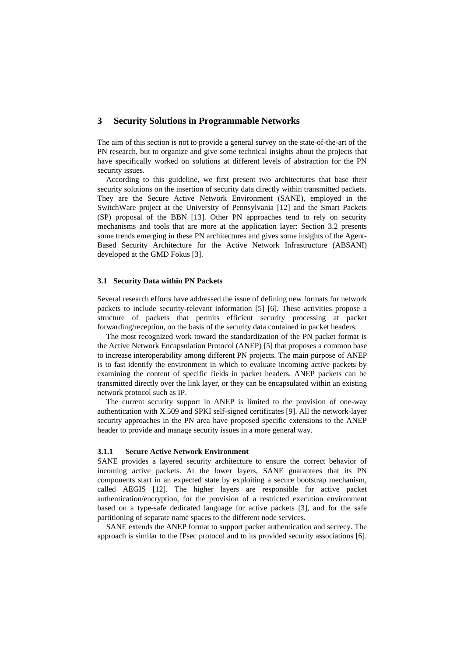### **3 Security Solutions in Programmable Networks**

The aim of this section is not to provide a general survey on the state-of-the-art of the PN research, but to organize and give some technical insights about the projects that have specifically worked on solutions at different levels of abstraction for the PN security issues.

According to this guideline, we first present two architectures that base their security solutions on the insertion of security data directly within transmitted packets. They are the Secure Active Network Environment (SANE), employed in the SwitchWare project at the University of Pennsylvania [12] and the Smart Packets (SP) proposal of the BBN [13]. Other PN approaches tend to rely on security mechanisms and tools that are more at the application layer: Section 3.2 presents some trends emerging in these PN architectures and gives some insights of the Agent-Based Security Architecture for the Active Network Infrastructure (ABSANI) developed at the GMD Fokus [3].

#### **3.1 Security Data within PN Packets**

Several research efforts have addressed the issue of defining new formats for network packets to include security-relevant information [5] [6]. These activities propose a structure of packets that permits efficient security processing at packet forwarding/reception, on the basis of the security data contained in packet headers.

The most recognized work toward the standardization of the PN packet format is the Active Network Encapsulation Protocol (ANEP) [5] that proposes a common base to increase interoperability among different PN projects. The main purpose of ANEP is to fast identify the environment in which to evaluate incoming active packets by examining the content of specific fields in packet headers. ANEP packets can be transmitted directly over the link layer, or they can be encapsulated within an existing network protocol such as IP.

The current security support in ANEP is limited to the provision of one-way authentication with X.509 and SPKI self-signed certificates [9]. All the network-layer security approaches in the PN area have proposed specific extensions to the ANEP header to provide and manage security issues in a more general way.

#### **3.1.1 Secure Active Network Environment**

SANE provides a layered security architecture to ensure the correct behavior of incoming active packets. At the lower layers, SANE guarantees that its PN components start in an expected state by exploiting a secure bootstrap mechanism, called AEGIS [12]. The higher layers are responsible for active packet authentication/encryption, for the provision of a restricted execution environment based on a type-safe dedicated language for active packets [3], and for the safe partitioning of separate name spaces to the different node services.

SANE extends the ANEP format to support packet authentication and secrecy. The approach is similar to the IPsec protocol and to its provided security associations [6].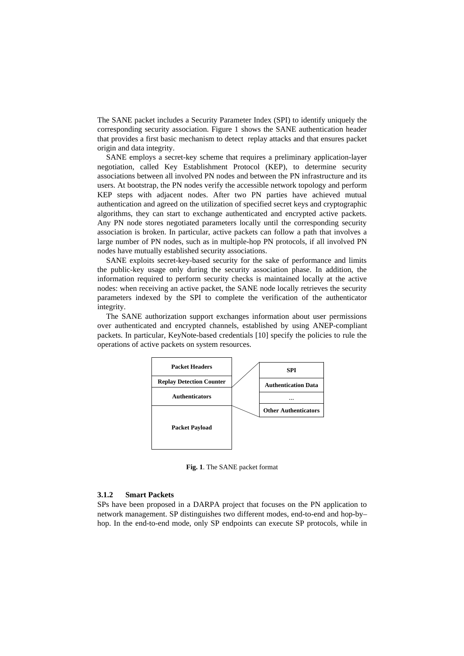The SANE packet includes a Security Parameter Index (SPI) to identify uniquely the corresponding security association. Figure 1 shows the SANE authentication header that provides a first basic mechanism to detect replay attacks and that ensures packet origin and data integrity.

SANE employs a secret-key scheme that requires a preliminary application-layer negotiation, called Key Establishment Protocol (KEP), to determine security associations between all involved PN nodes and between the PN infrastructure and its users. At bootstrap, the PN nodes verify the accessible network topology and perform KEP steps with adjacent nodes. After two PN parties have achieved mutual authentication and agreed on the utilization of specified secret keys and cryptographic algorithms, they can start to exchange authenticated and encrypted active packets. Any PN node stores negotiated parameters locally until the corresponding security association is broken. In particular, active packets can follow a path that involves a large number of PN nodes, such as in multiple-hop PN protocols, if all involved PN nodes have mutually established security associations.

SANE exploits secret-key-based security for the sake of performance and limits the public-key usage only during the security association phase. In addition, the information required to perform security checks is maintained locally at the active nodes: when receiving an active packet, the SANE node locally retrieves the security parameters indexed by the SPI to complete the verification of the authenticator integrity.

The SANE authorization support exchanges information about user permissions over authenticated and encrypted channels, established by using ANEP-compliant packets. In particular, KeyNote-based credentials [10] specify the policies to rule the operations of active packets on system resources.



**Fig. 1**. The SANE packet format

## **3.1.2 Smart Packets**

SPs have been proposed in a DARPA project that focuses on the PN application to network management. SP distinguishes two different modes, end-to-end and hop-by– hop. In the end-to-end mode, only SP endpoints can execute SP protocols, while in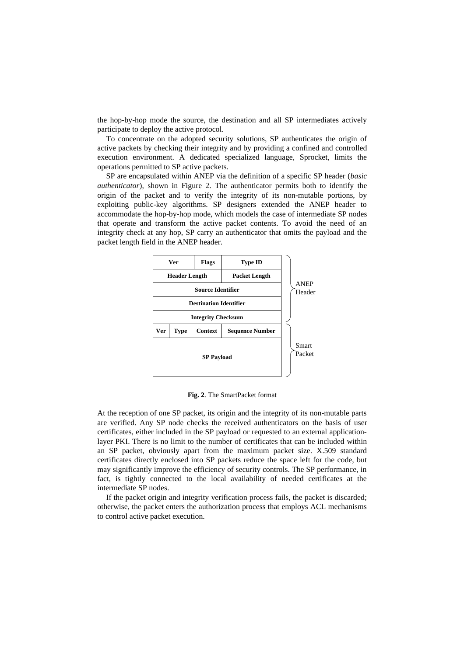the hop-by-hop mode the source, the destination and all SP intermediates actively participate to deploy the active protocol.

To concentrate on the adopted security solutions, SP authenticates the origin of active packets by checking their integrity and by providing a confined and controlled execution environment. A dedicated specialized language, Sprocket, limits the operations permitted to SP active packets.

SP are encapsulated within ANEP via the definition of a specific SP header (*basic authenticator*), shown in Figure 2. The authenticator permits both to identify the origin of the packet and to verify the integrity of its non-mutable portions, by exploiting public-key algorithms. SP designers extended the ANEP header to accommodate the hop-by-hop mode, which models the case of intermediate SP nodes that operate and transform the active packet contents. To avoid the need of an integrity check at any hop, SP carry an authenticator that omits the payload and the packet length field in the ANEP header.



**Fig. 2**. The SmartPacket format

At the reception of one SP packet, its origin and the integrity of its non-mutable parts are verified. Any SP node checks the received authenticators on the basis of user certificates, either included in the SP payload or requested to an external applicationlayer PKI. There is no limit to the number of certificates that can be included within an SP packet, obviously apart from the maximum packet size. X.509 standard certificates directly enclosed into SP packets reduce the space left for the code, but may significantly improve the efficiency of security controls. The SP performance, in fact, is tightly connected to the local availability of needed certificates at the intermediate SP nodes.

If the packet origin and integrity verification process fails, the packet is discarded; otherwise, the packet enters the authorization process that employs ACL mechanisms to control active packet execution.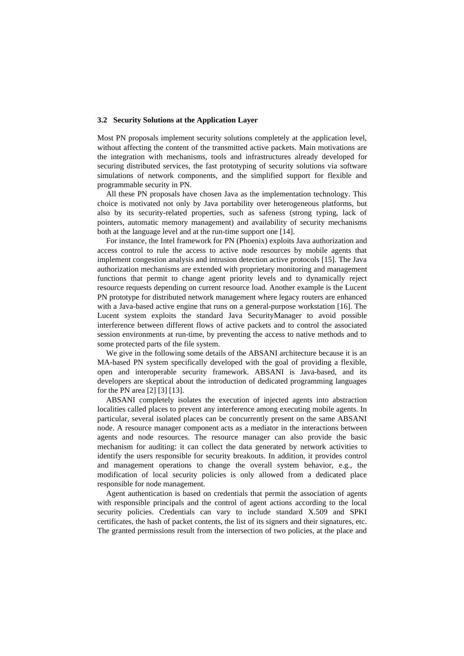#### **3.2 Security Solutions at the Application Layer**

Most PN proposals implement security solutions completely at the application level, without affecting the content of the transmitted active packets. Main motivations are the integration with mechanisms, tools and infrastructures already developed for securing distributed services, the fast prototyping of security solutions via software simulations of network components, and the simplified support for flexible and programmable security in PN.

All these PN proposals have chosen Java as the implementation technology. This choice is motivated not only by Java portability over heterogeneous platforms, but also by its security-related properties, such as safeness (strong typing, lack of pointers, automatic memory management) and availability of security mechanisms both at the language level and at the run-time support one [14].

For instance, the Intel framework for PN (Phoenix) exploits Java authorization and access control to rule the access to active node resources by mobile agents that implement congestion analysis and intrusion detection active protocols [15]. The Java authorization mechanisms are extended with proprietary monitoring and management functions that permit to change agent priority levels and to dynamically reject resource requests depending on current resource load. Another example is the Lucent PN prototype for distributed network management where legacy routers are enhanced with a Java-based active engine that runs on a general-purpose workstation [16]. The Lucent system exploits the standard Java SecurityManager to avoid possible interference between different flows of active packets and to control the associated session environments at run-time, by preventing the access to native methods and to some protected parts of the file system.

We give in the following some details of the ABSANI architecture because it is an MA-based PN system specifically developed with the goal of providing a flexible, open and interoperable security framework. ABSANI is Java-based, and its developers are skeptical about the introduction of dedicated programming languages for the PN area [2] [3] [13].

ABSANI completely isolates the execution of injected agents into abstraction localities called places to prevent any interference among executing mobile agents. In particular, several isolated places can be concurrently present on the same ABSANI node. A resource manager component acts as a mediator in the interactions between agents and node resources. The resource manager can also provide the basic mechanism for auditing: it can collect the data generated by network activities to identify the users responsible for security breakouts. In addition, it provides control and management operations to change the overall system behavior, e.g., the modification of local security policies is only allowed from a dedicated place responsible for node management.

Agent authentication is based on credentials that permit the association of agents with responsible principals and the control of agent actions according to the local security policies. Credentials can vary to include standard X.509 and SPKI certificates, the hash of packet contents, the list of its signers and their signatures, etc. The granted permissions result from the intersection of two policies, at the place and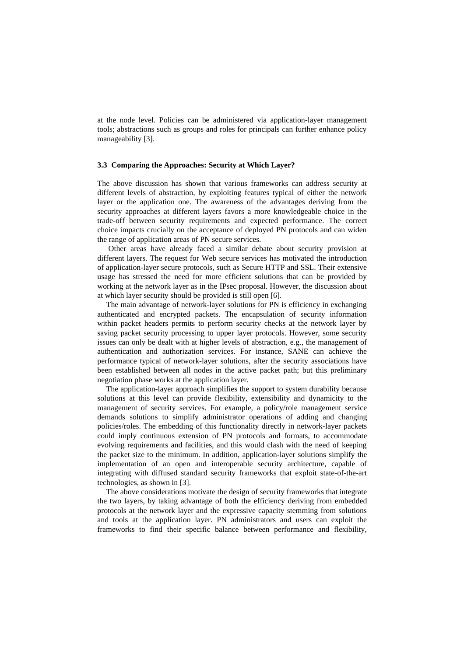at the node level. Policies can be administered via application-layer management tools; abstractions such as groups and roles for principals can further enhance policy manageability [3].

#### **3.3 Comparing the Approaches: Security at Which Layer?**

The above discussion has shown that various frameworks can address security at different levels of abstraction, by exploiting features typical of either the network layer or the application one. The awareness of the advantages deriving from the security approaches at different layers favors a more knowledgeable choice in the trade-off between security requirements and expected performance. The correct choice impacts crucially on the acceptance of deployed PN protocols and can widen the range of application areas of PN secure services.

Other areas have already faced a similar debate about security provision at different layers. The request for Web secure services has motivated the introduction of application-layer secure protocols, such as Secure HTTP and SSL. Their extensive usage has stressed the need for more efficient solutions that can be provided by working at the network layer as in the IPsec proposal. However, the discussion about at which layer security should be provided is still open [6].

The main advantage of network-layer solutions for PN is efficiency in exchanging authenticated and encrypted packets. The encapsulation of security information within packet headers permits to perform security checks at the network layer by saving packet security processing to upper layer protocols. However, some security issues can only be dealt with at higher levels of abstraction, e.g., the management of authentication and authorization services. For instance, SANE can achieve the performance typical of network-layer solutions, after the security associations have been established between all nodes in the active packet path; but this preliminary negotiation phase works at the application layer.

The application-layer approach simplifies the support to system durability because solutions at this level can provide flexibility, extensibility and dynamicity to the management of security services. For example, a policy/role management service demands solutions to simplify administrator operations of adding and changing policies/roles. The embedding of this functionality directly in network-layer packets could imply continuous extension of PN protocols and formats, to accommodate evolving requirements and facilities, and this would clash with the need of keeping the packet size to the minimum. In addition, application-layer solutions simplify the implementation of an open and interoperable security architecture, capable of integrating with diffused standard security frameworks that exploit state-of-the-art technologies, as shown in [3].

The above considerations motivate the design of security frameworks that integrate the two layers, by taking advantage of both the efficiency deriving from embedded protocols at the network layer and the expressive capacity stemming from solutions and tools at the application layer. PN administrators and users can exploit the frameworks to find their specific balance between performance and flexibility,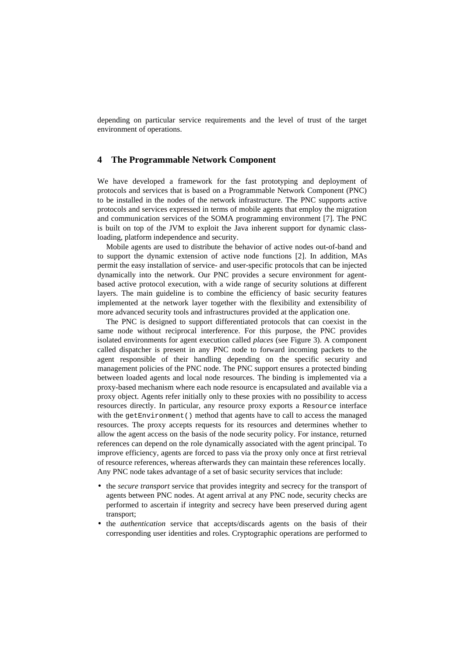depending on particular service requirements and the level of trust of the target environment of operations.

## **4 The Programmable Network Component**

We have developed a framework for the fast prototyping and deployment of protocols and services that is based on a Programmable Network Component (PNC) to be installed in the nodes of the network infrastructure. The PNC supports active protocols and services expressed in terms of mobile agents that employ the migration and communication services of the SOMA programming environment [7]. The PNC is built on top of the JVM to exploit the Java inherent support for dynamic classloading, platform independence and security.

Mobile agents are used to distribute the behavior of active nodes out-of-band and to support the dynamic extension of active node functions [2]. In addition, MAs permit the easy installation of service- and user-specific protocols that can be injected dynamically into the network. Our PNC provides a secure environment for agentbased active protocol execution, with a wide range of security solutions at different layers. The main guideline is to combine the efficiency of basic security features implemented at the network layer together with the flexibility and extensibility of more advanced security tools and infrastructures provided at the application one.

The PNC is designed to support differentiated protocols that can coexist in the same node without reciprocal interference. For this purpose, the PNC provides isolated environments for agent execution called *places* (see Figure 3). A component called dispatcher is present in any PNC node to forward incoming packets to the agent responsible of their handling depending on the specific security and management policies of the PNC node. The PNC support ensures a protected binding between loaded agents and local node resources. The binding is implemented via a proxy-based mechanism where each node resource is encapsulated and available via a proxy object. Agents refer initially only to these proxies with no possibility to access resources directly. In particular, any resource proxy exports a Resource interface with the getEnvironment() method that agents have to call to access the managed resources. The proxy accepts requests for its resources and determines whether to allow the agent access on the basis of the node security policy. For instance, returned references can depend on the role dynamically associated with the agent principal. To improve efficiency, agents are forced to pass via the proxy only once at first retrieval of resource references, whereas afterwards they can maintain these references locally. Any PNC node takes advantage of a set of basic security services that include:

- the *secure transport* service that provides integrity and secrecy for the transport of agents between PNC nodes. At agent arrival at any PNC node, security checks are performed to ascertain if integrity and secrecy have been preserved during agent transport;
- the *authentication* service that accepts/discards agents on the basis of their corresponding user identities and roles. Cryptographic operations are performed to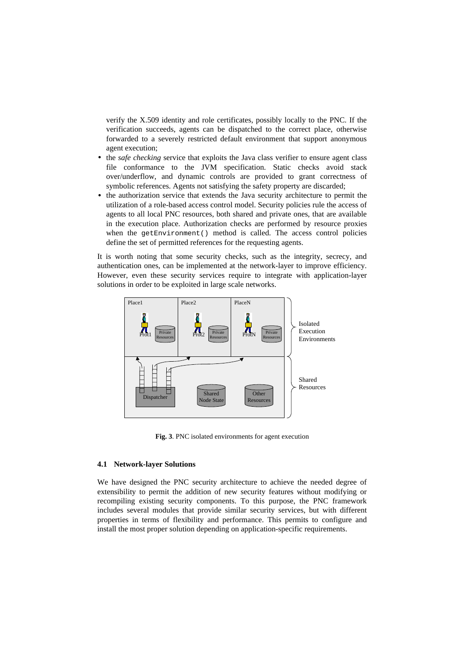verify the X.509 identity and role certificates, possibly locally to the PNC. If the verification succeeds, agents can be dispatched to the correct place, otherwise forwarded to a severely restricted default environment that support anonymous agent execution;

- the *safe checking* service that exploits the Java class verifier to ensure agent class file conformance to the JVM specification. Static checks avoid stack over/underflow, and dynamic controls are provided to grant correctness of symbolic references. Agents not satisfying the safety property are discarded;
- the authorization service that extends the Java security architecture to permit the utilization of a role-based access control model. Security policies rule the access of agents to all local PNC resources, both shared and private ones, that are available in the execution place. Authorization checks are performed by resource proxies when the getEnvironment() method is called. The access control policies define the set of permitted references for the requesting agents.

It is worth noting that some security checks, such as the integrity, secrecy, and authentication ones, can be implemented at the network-layer to improve efficiency. However, even these security services require to integrate with application-layer solutions in order to be exploited in large scale networks.



**Fig. 3**. PNC isolated environments for agent execution

## **4.1 Network-layer Solutions**

We have designed the PNC security architecture to achieve the needed degree of extensibility to permit the addition of new security features without modifying or recompiling existing security components. To this purpose, the PNC framework includes several modules that provide similar security services, but with different properties in terms of flexibility and performance. This permits to configure and install the most proper solution depending on application-specific requirements.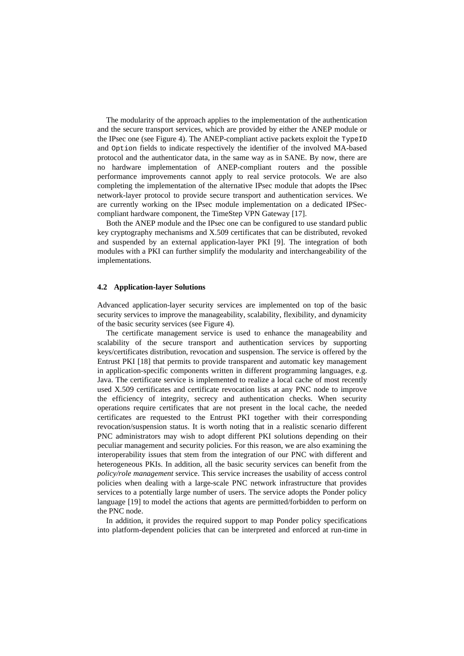The modularity of the approach applies to the implementation of the authentication and the secure transport services, which are provided by either the ANEP module or the IPsec one (see Figure 4). The ANEP-compliant active packets exploit the TypeID and Option fields to indicate respectively the identifier of the involved MA-based protocol and the authenticator data, in the same way as in SANE. By now, there are no hardware implementation of ANEP-compliant routers and the possible performance improvements cannot apply to real service protocols. We are also completing the implementation of the alternative IPsec module that adopts the IPsec network-layer protocol to provide secure transport and authentication services. We are currently working on the IPsec module implementation on a dedicated IPSeccompliant hardware component, the TimeStep VPN Gateway [17].

Both the ANEP module and the IPsec one can be configured to use standard public key cryptography mechanisms and X.509 certificates that can be distributed, revoked and suspended by an external application-layer PKI [9]. The integration of both modules with a PKI can further simplify the modularity and interchangeability of the implementations.

#### **4.2 Application-layer Solutions**

Advanced application-layer security services are implemented on top of the basic security services to improve the manageability, scalability, flexibility, and dynamicity of the basic security services (see Figure 4).

The certificate management service is used to enhance the manageability and scalability of the secure transport and authentication services by supporting keys/certificates distribution, revocation and suspension. The service is offered by the Entrust PKI [18] that permits to provide transparent and automatic key management in application-specific components written in different programming languages, e.g. Java. The certificate service is implemented to realize a local cache of most recently used X.509 certificates and certificate revocation lists at any PNC node to improve the efficiency of integrity, secrecy and authentication checks. When security operations require certificates that are not present in the local cache, the needed certificates are requested to the Entrust PKI together with their corresponding revocation/suspension status. It is worth noting that in a realistic scenario different PNC administrators may wish to adopt different PKI solutions depending on their peculiar management and security policies. For this reason, we are also examining the interoperability issues that stem from the integration of our PNC with different and heterogeneous PKIs. In addition, all the basic security services can benefit from the *policy/role management* service. This service increases the usability of access control policies when dealing with a large-scale PNC network infrastructure that provides services to a potentially large number of users. The service adopts the Ponder policy language [19] to model the actions that agents are permitted/forbidden to perform on the PNC node.

In addition, it provides the required support to map Ponder policy specifications into platform-dependent policies that can be interpreted and enforced at run-time in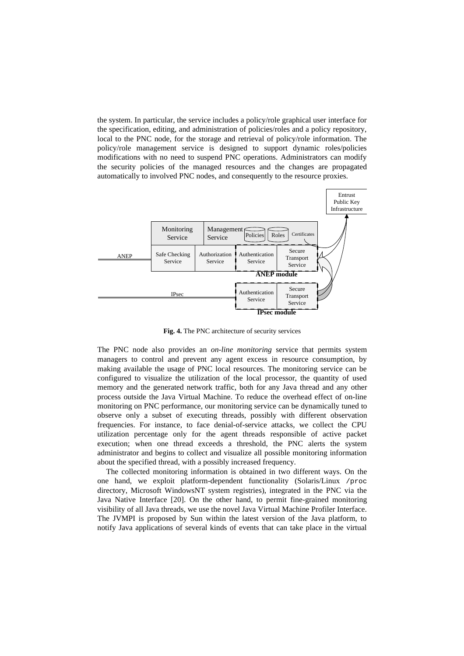the system. In particular, the service includes a policy/role graphical user interface for the specification, editing, and administration of policies/roles and a policy repository, local to the PNC node, for the storage and retrieval of policy/role information. The policy/role management service is designed to support dynamic roles/policies modifications with no need to suspend PNC operations. Administrators can modify the security policies of the managed resources and the changes are propagated automatically to involved PNC nodes, and consequently to the resource proxies.



**Fig. 4.** The PNC architecture of security services

The PNC node also provides an *on-line monitoring* service that permits system managers to control and prevent any agent excess in resource consumption, by making available the usage of PNC local resources. The monitoring service can be configured to visualize the utilization of the local processor, the quantity of used memory and the generated network traffic, both for any Java thread and any other process outside the Java Virtual Machine. To reduce the overhead effect of on-line monitoring on PNC performance, our monitoring service can be dynamically tuned to observe only a subset of executing threads, possibly with different observation frequencies. For instance, to face denial-of-service attacks, we collect the CPU utilization percentage only for the agent threads responsible of active packet execution; when one thread exceeds a threshold, the PNC alerts the system administrator and begins to collect and visualize all possible monitoring information about the specified thread, with a possibly increased frequency.

The collected monitoring information is obtained in two different ways. On the one hand, we exploit platform-dependent functionality (Solaris/Linux /proc directory, Microsoft WindowsNT system registries), integrated in the PNC via the Java Native Interface [20]. On the other hand, to permit fine-grained monitoring visibility of all Java threads, we use the novel Java Virtual Machine Profiler Interface. The JVMPI is proposed by Sun within the latest version of the Java platform, to notify Java applications of several kinds of events that can take place in the virtual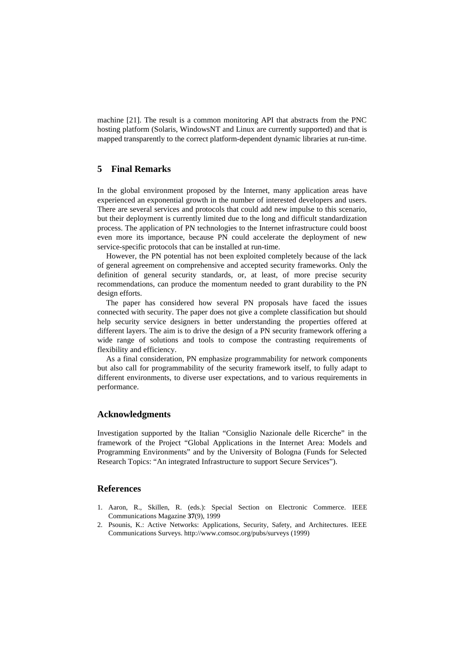machine [21]. The result is a common monitoring API that abstracts from the PNC hosting platform (Solaris, WindowsNT and Linux are currently supported) and that is mapped transparently to the correct platform-dependent dynamic libraries at run-time.

## **5 Final Remarks**

In the global environment proposed by the Internet, many application areas have experienced an exponential growth in the number of interested developers and users. There are several services and protocols that could add new impulse to this scenario, but their deployment is currently limited due to the long and difficult standardization process. The application of PN technologies to the Internet infrastructure could boost even more its importance, because PN could accelerate the deployment of new service-specific protocols that can be installed at run-time.

However, the PN potential has not been exploited completely because of the lack of general agreement on comprehensive and accepted security frameworks. Only the definition of general security standards, or, at least, of more precise security recommendations, can produce the momentum needed to grant durability to the PN design efforts.

The paper has considered how several PN proposals have faced the issues connected with security. The paper does not give a complete classification but should help security service designers in better understanding the properties offered at different layers. The aim is to drive the design of a PN security framework offering a wide range of solutions and tools to compose the contrasting requirements of flexibility and efficiency.

As a final consideration, PN emphasize programmability for network components but also call for programmability of the security framework itself, to fully adapt to different environments, to diverse user expectations, and to various requirements in performance.

## **Acknowledgments**

Investigation supported by the Italian "Consiglio Nazionale delle Ricerche" in the framework of the Project "Global Applications in the Internet Area: Models and Programming Environments" and by the University of Bologna (Funds for Selected Research Topics: "An integrated Infrastructure to support Secure Services").

## **References**

- 1. Aaron, R., Skillen, R. (eds.): Special Section on Electronic Commerce. IEEE Communications Magazine **37**(9), 1999
- 2. Psounis, K.: Active Networks: Applications, Security, Safety, and Architectures. IEEE Communications Surveys. http://www.comsoc.org/pubs/surveys (1999)